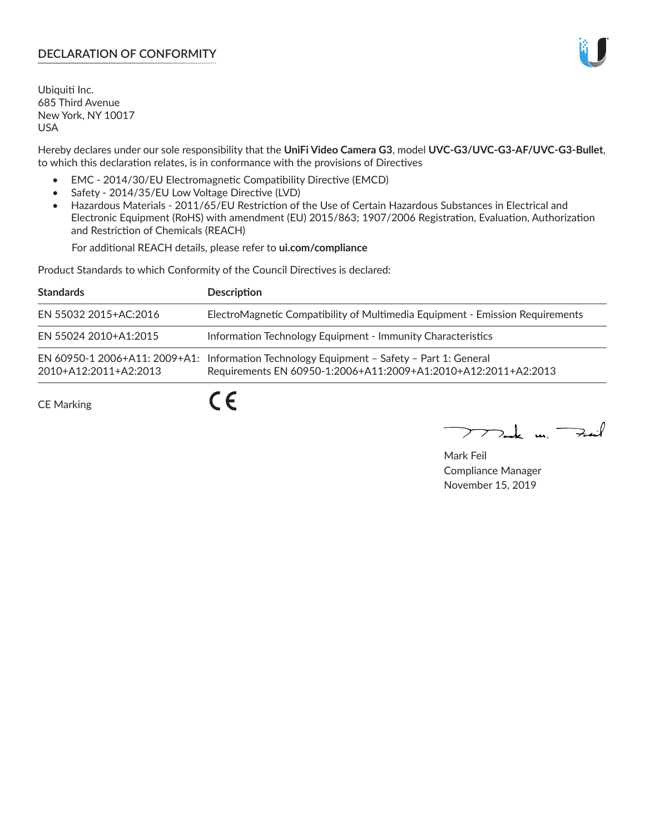# **DECLARATION OF CONFORMITY**

Ubiquiti Inc. 685 Third Avenue New York, NY 10017 USA

Hereby declares under our sole responsibility that the **UniFi Video Camera G3**, model **UVC-G3/UVC-G3-AF/UVC-G3-Bullet**, to which this declaration relates, is in conformance with the provisions of Directives

- EMC 2014/30/EU Electromagnetic Compatibility Directive (EMCD)
- Safety 2014/35/EU Low Voltage Directive (LVD)
- Hazardous Materials 2011/65/EU Restriction of the Use of Certain Hazardous Substances in Electrical and Electronic Equipment (RoHS) with amendment (EU) 2015/863; 1907/2006 Registration, Evaluation, Authorization and Restriction of Chemicals (REACH)

For additional REACH details, please refer to **ui.com/compliance**

Product Standards to which Conformity of the Council Directives is declared:

| <b>Standards</b>      | <b>Description</b>                                                                                                                                          |
|-----------------------|-------------------------------------------------------------------------------------------------------------------------------------------------------------|
| EN 55032 2015+AC:2016 | ElectroMagnetic Compatibility of Multimedia Equipment - Emission Requirements                                                                               |
| EN 55024 2010+A1:2015 | Information Technology Equipment - Immunity Characteristics                                                                                                 |
| 2010+A12:2011+A2:2013 | EN 60950-1 2006+A11: 2009+A1: Information Technology Equipment - Safety - Part 1: General<br>Requirements EN 60950-1:2006+A11:2009+A1:2010+A12:2011+A2:2013 |
| <b>CE Marking</b>     |                                                                                                                                                             |

mak m. Fuil

Mark Feil Compliance Manager November 15, 2019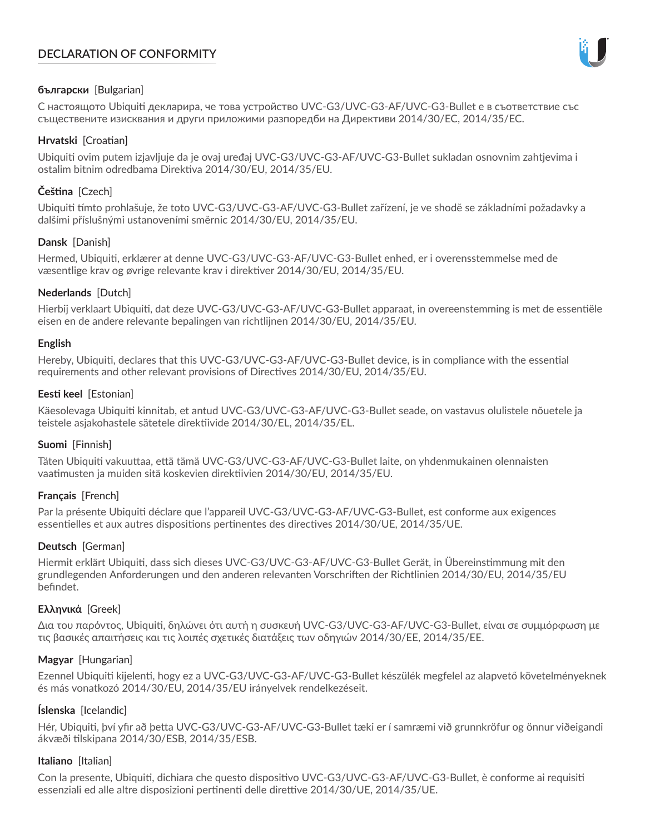# **DECLARATION OF CONFORMITY**



## **български** [Bulgarian]

С настоящото Ubiquiti декларира, че това устройство UVC-G3/UVC-G3-AF/UVC-G3-Bullet е в съответствие със съществените изисквания и други приложими разпоредби на Директиви 2014/30/ЕС, 2014/35/ЕС.

### **Hrvatski** [Croatian]

Ubiquiti ovim putem izjavljuje da je ovaj uređaj UVC-G3/UVC-G3-AF/UVC-G3-Bullet sukladan osnovnim zahtjevima i ostalim bitnim odredbama Direktiva 2014/30/EU, 2014/35/EU.

# **Čeština** [Czech]

Ubiquiti tímto prohlašuje, že toto UVC-G3/UVC-G3-AF/UVC-G3-Bullet zařízení, je ve shodě se základními požadavky a dalšími příslušnými ustanoveními směrnic 2014/30/EU, 2014/35/EU.

### **Dansk** [Danish]

Hermed, Ubiquiti, erklærer at denne UVC-G3/UVC-G3-AF/UVC-G3-Bullet enhed, er i overensstemmelse med de væsentlige krav og øvrige relevante krav i direktiver 2014/30/EU, 2014/35/EU.

### **Nederlands** [Dutch]

Hierbij verklaart Ubiquiti, dat deze UVC-G3/UVC-G3-AF/UVC-G3-Bullet apparaat, in overeenstemming is met de essentiële eisen en de andere relevante bepalingen van richtlijnen 2014/30/EU, 2014/35/EU.

#### **English**

Hereby, Ubiquiti, declares that this UVC-G3/UVC-G3-AF/UVC-G3-Bullet device, is in compliance with the essential requirements and other relevant provisions of Directives 2014/30/EU, 2014/35/EU.

### **Eesti keel** [Estonian]

Käesolevaga Ubiquiti kinnitab, et antud UVC-G3/UVC-G3-AF/UVC-G3-Bullet seade, on vastavus olulistele nõuetele ja teistele asjakohastele sätetele direktiivide 2014/30/EL, 2014/35/EL.

## **Suomi** [Finnish]

Täten Ubiquiti vakuuttaa, että tämä UVC-G3/UVC-G3-AF/UVC-G3-Bullet laite, on yhdenmukainen olennaisten vaatimusten ja muiden sitä koskevien direktiivien 2014/30/EU, 2014/35/EU.

## **Français** [French]

Par la présente Ubiquiti déclare que l'appareil UVC-G3/UVC-G3-AF/UVC-G3-Bullet, est conforme aux exigences essentielles et aux autres dispositions pertinentes des directives 2014/30/UE, 2014/35/UE.

## **Deutsch** [German]

Hiermit erklärt Ubiquiti, dass sich dieses UVC-G3/UVC-G3-AF/UVC-G3-Bullet Gerät, in Übereinstimmung mit den grundlegenden Anforderungen und den anderen relevanten Vorschriften der Richtlinien 2014/30/EU, 2014/35/EU befindet.

#### **Ελληνικά** [Greek]

Δια του παρόντος, Ubiquiti, δηλώνει ότι αυτή η συσκευή UVC-G3/UVC-G3-AF/UVC-G3-Bullet, είναι σε συμμόρφωση με τις βασικές απαιτήσεις και τις λοιπές σχετικές διατάξεις των οδηγιών 2014/30/EE, 2014/35/EE.

#### **Magyar** [Hungarian]

Ezennel Ubiquiti kijelenti, hogy ez a UVC-G3/UVC-G3-AF/UVC-G3-Bullet készülék megfelel az alapvető követelményeknek és más vonatkozó 2014/30/EU, 2014/35/EU irányelvek rendelkezéseit.

## **Íslenska** [Icelandic]

Hér, Ubiquiti, því yfir að þetta UVC-G3/UVC-G3-AF/UVC-G3-Bullet tæki er í samræmi við grunnkröfur og önnur viðeigandi ákvæði tilskipana 2014/30/ESB, 2014/35/ESB.

#### **Italiano** [Italian]

Con la presente, Ubiquiti, dichiara che questo dispositivo UVC-G3/UVC-G3-AF/UVC-G3-Bullet, è conforme ai requisiti essenziali ed alle altre disposizioni pertinenti delle direttive 2014/30/UE, 2014/35/UE.